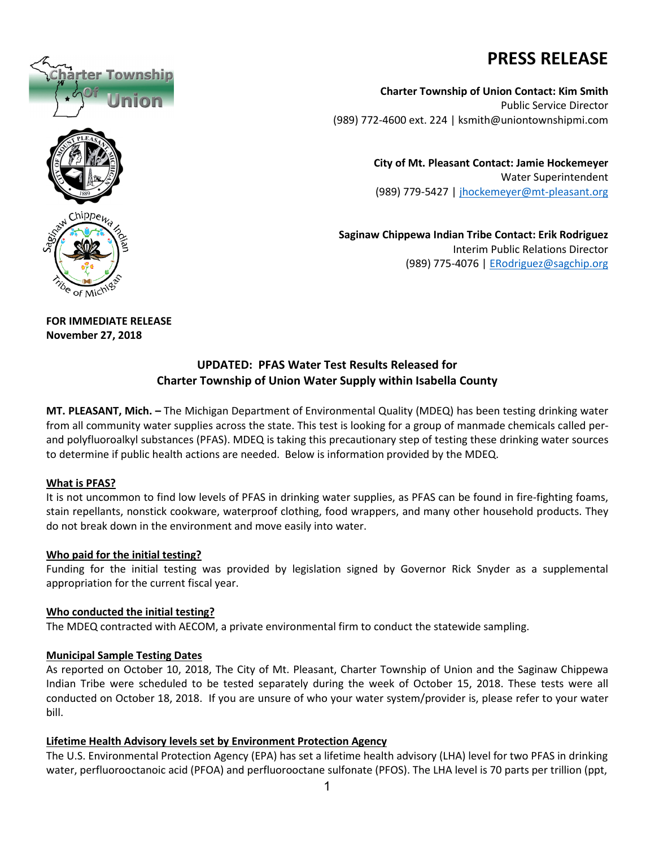# **PRESS RELEASE**

**Charter Township of Union Contact: Kim Smith** Public Service Director (989) 772-4600 ext. 224 | ksmith@uniontownshipmi.com

> **City of Mt. Pleasant Contact: Jamie Hockemeyer** Water Superintendent (989) 779-5427 [| jhockemeyer@mt-pleasant.org](mailto:jhockemeyer@mt-pleasant.org)

**Saginaw Chippewa Indian Tribe Contact: Erik Rodriguez** Interim Public Relations Director (989) 775-4076 | [ERodriguez@sagchip.org](mailto:ERodriguez@sagchip.org)

**FOR IMMEDIATE RELEASE November 27, 2018**

# **UPDATED: PFAS Water Test Results Released for Charter Township of Union Water Supply within Isabella County**

**MT. PLEASANT, Mich. –** The Michigan Department of Environmental Quality (MDEQ) has been testing drinking water from all community water supplies across the state. This test is looking for a group of manmade chemicals called perand polyfluoroalkyl substances (PFAS). MDEQ is taking this precautionary step of testing these drinking water sources to determine if public health actions are needed. Below is information provided by the MDEQ.

## **What is PFAS?**

It is not uncommon to find low levels of PFAS in drinking water supplies, as PFAS can be found in fire-fighting foams, stain repellants, nonstick cookware, waterproof clothing, food wrappers, and many other household products. They do not break down in the environment and move easily into water.

#### **Who paid for the initial testing?**

Funding for the initial testing was provided by legislation signed by Governor Rick Snyder as a supplemental appropriation for the current fiscal year.

## **Who conducted the initial testing?**

The MDEQ contracted with AECOM, a private environmental firm to conduct the statewide sampling.

## **Municipal Sample Testing Dates**

As reported on October 10, 2018, The City of Mt. Pleasant, Charter Township of Union and the Saginaw Chippewa Indian Tribe were scheduled to be tested separately during the week of October 15, 2018. These tests were all conducted on October 18, 2018. If you are unsure of who your water system/provider is, please refer to your water bill.

## **Lifetime Health Advisory levels set by Environment Protection Agency**

The U.S. Environmental Protection Agency (EPA) has set a lifetime health advisory (LHA) level for two PFAS in drinking water, perfluorooctanoic acid (PFOA) and perfluorooctane sulfonate (PFOS). The LHA level is 70 parts per trillion (ppt,

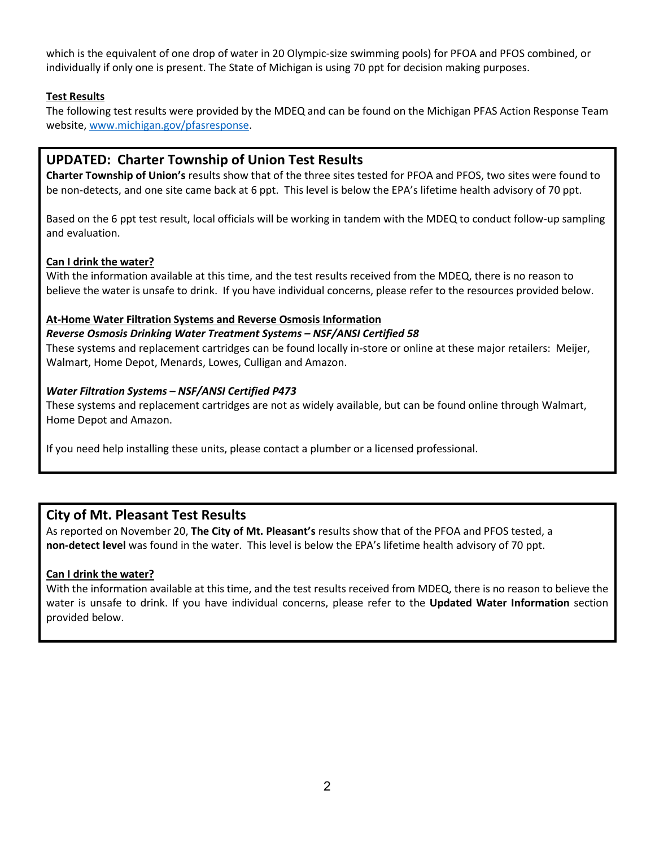which is the equivalent of one drop of water in 20 Olympic-size swimming pools) for PFOA and PFOS combined, or individually if only one is present. The State of Michigan is using 70 ppt for decision making purposes.

# **Test Results**

The following test results were provided by the MDEQ and can be found on the Michigan PFAS Action Response Team website[, www.michigan.gov/pfasresponse.](http://www.michigan.gov/pfasresponse)

# **UPDATED: Charter Township of Union Test Results**

**Charter Township of Union's** results show that of the three sites tested for PFOA and PFOS, two sites were found to be non-detects, and one site came back at 6 ppt. This level is below the EPA's lifetime health advisory of 70 ppt.

Based on the 6 ppt test result, local officials will be working in tandem with the MDEQ to conduct follow-up sampling and evaluation.

## **Can I drink the water?**

With the information available at this time, and the test results received from the MDEQ, there is no reason to believe the water is unsafe to drink. If you have individual concerns, please refer to the resources provided below.

#### **At-Home Water Filtration Systems and Reverse Osmosis Information**

*Reverse Osmosis Drinking Water Treatment Systems – NSF/ANSI Certified 58*  These systems and replacement cartridges can be found locally in-store or online at these major retailers: Meijer,

Walmart, Home Depot, Menards, Lowes, Culligan and Amazon.

#### *Water Filtration Systems – NSF/ANSI Certified P473*

These systems and replacement cartridges are not as widely available, but can be found online through Walmart, Home Depot and Amazon.

If you need help installing these units, please contact a plumber or a licensed professional.

# **City of Mt. Pleasant Test Results**

As reported on November 20, **The City of Mt. Pleasant's** results show that of the PFOA and PFOS tested, a **non-detect level** was found in the water. This level is below the EPA's lifetime health advisory of 70 ppt.

#### **Can I drink the water?**

With the information available at this time, and the test results received from MDEQ, there is no reason to believe the water is unsafe to drink. If you have individual concerns, please refer to the **Updated Water Information** section provided below.